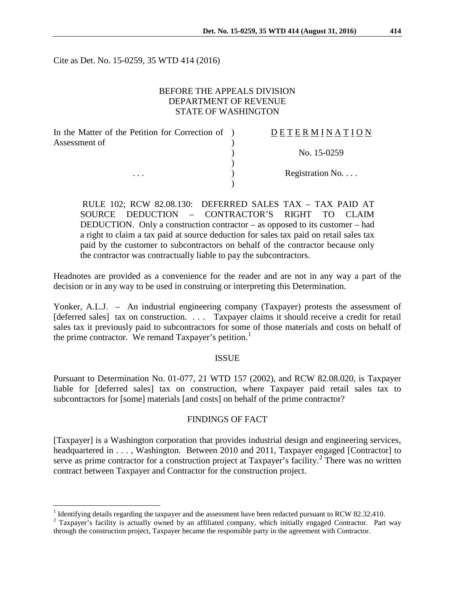Cite as Det. No. 15-0259, 35 WTD 414 (2016)

## BEFORE THE APPEALS DIVISION DEPARTMENT OF REVENUE STATE OF WASHINGTON

| In the Matter of the Petition for Correction of ) | <b>DETERMINATION</b> |
|---------------------------------------------------|----------------------|
| Assessment of                                     |                      |
|                                                   | No. 15-0259          |
|                                                   |                      |
| $\cdots$                                          | Registration No      |
|                                                   |                      |

RULE 102; RCW 82.08.130: DEFERRED SALES TAX – TAX PAID AT SOURCE DEDUCTION – CONTRACTOR'S RIGHT TO CLAIM DEDUCTION. Only a construction contractor – as opposed to its customer – had a right to claim a tax paid at source deduction for sales tax paid on retail sales tax paid by the customer to subcontractors on behalf of the contractor because only the contractor was contractually liable to pay the subcontractors.

Headnotes are provided as a convenience for the reader and are not in any way a part of the decision or in any way to be used in construing or interpreting this Determination.

Yonker, A.L.J. – An industrial engineering company (Taxpayer) protests the assessment of [deferred sales] tax on construction. . . . Taxpayer claims it should receive a credit for retail sales tax it previously paid to subcontractors for some of those materials and costs on behalf of the prime contractor. We remand Taxpayer's petition.<sup>[1](#page-0-0)</sup>

#### **ISSUE**

Pursuant to Determination No. 01-077, 21 WTD 157 (2002), and RCW 82.08.020, is Taxpayer liable for [deferred sales] tax on construction, where Taxpayer paid retail sales tax to subcontractors for [some] materials [and costs] on behalf of the prime contractor?

#### FINDINGS OF FACT

[Taxpayer] is a Washington corporation that provides industrial design and engineering services, headquartered in . . . , Washington. Between 2010 and 2011, Taxpayer engaged [Contractor] to serve as prime contractor for a construction project at Taxpayer's facility.<sup>[2](#page-0-1)</sup> There was no written contract between Taxpayer and Contractor for the construction project.

<span id="page-0-0"></span><sup>&</sup>lt;sup>1</sup> Identifying details regarding the taxpayer and the assessment have been redacted pursuant to RCW 82.32.410.

<span id="page-0-1"></span><sup>&</sup>lt;sup>2</sup> Taxpayer's facility is actually owned by an affiliated company, which initially engaged Contractor. Part way through the construction project, Taxpayer became the responsible party in the agreement with Contractor.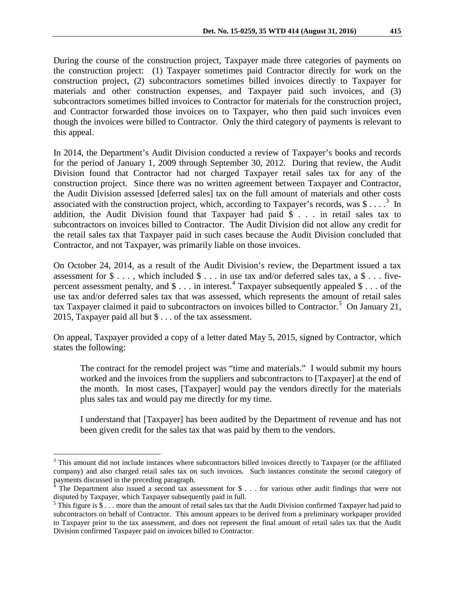During the course of the construction project, Taxpayer made three categories of payments on the construction project: (1) Taxpayer sometimes paid Contractor directly for work on the construction project, (2) subcontractors sometimes billed invoices directly to Taxpayer for materials and other construction expenses, and Taxpayer paid such invoices, and (3) subcontractors sometimes billed invoices to Contractor for materials for the construction project, and Contractor forwarded those invoices on to Taxpayer, who then paid such invoices even though the invoices were billed to Contractor. Only the third category of payments is relevant to

In 2014, the Department's Audit Division conducted a review of Taxpayer's books and records for the period of January 1, 2009 through September 30, 2012. During that review, the Audit Division found that Contractor had not charged Taxpayer retail sales tax for any of the construction project. Since there was no written agreement between Taxpayer and Contractor, the Audit Division assessed [deferred sales] tax on the full amount of materials and other costs associated with the construction project, which, according to Taxpayer's records, was  $\frac{1}{2}$ ...  $\frac{3}{2}$  $\frac{3}{2}$  $\frac{3}{2}$  In addition, the Audit Division found that Taxpayer had paid \$ . . . in retail sales tax to subcontractors on invoices billed to Contractor. The Audit Division did not allow any credit for the retail sales tax that Taxpayer paid in such cases because the Audit Division concluded that Contractor, and not Taxpayer, was primarily liable on those invoices.

this appeal.

On October 24, 2014, as a result of the Audit Division's review, the Department issued a tax assessment for  $\$\ldots$ , which included  $\$\ldots$  in use tax and/or deferred sales tax, a  $\$\ldots$  fivepercent assessment penalty, and  $\$\dots$  in interest.<sup>[4](#page-1-1)</sup> Taxpayer subsequently appealed  $\$\dots$  of the use tax and/or deferred sales tax that was assessed, which represents the amount of retail sales tax Taxpayer claimed it paid to subcontractors on invoices billed to Contractor. [5](#page-1-2) On January 21, 2015, Taxpayer paid all but \$ . . . of the tax assessment.

On appeal, Taxpayer provided a copy of a letter dated May 5, 2015, signed by Contractor, which states the following:

The contract for the remodel project was "time and materials." I would submit my hours worked and the invoices from the suppliers and subcontractors to [Taxpayer] at the end of the month. In most cases, [Taxpayer] would pay the vendors directly for the materials plus sales tax and would pay me directly for my time.

I understand that [Taxpayer] has been audited by the Department of revenue and has not been given credit for the sales tax that was paid by them to the vendors.

<span id="page-1-0"></span><sup>&</sup>lt;sup>3</sup> This amount did not include instances where subcontractors billed invoices directly to Taxpayer (or the affiliated company) and also charged retail sales tax on such invoices. Such instances constitute the second category of payments discussed in the preceding paragraph.

<span id="page-1-1"></span><sup>&</sup>lt;sup>4</sup> The Department also issued a second tax assessment for \$ $\dots$  for various other audit findings that were not disputed by Taxpayer, which Taxpayer subsequently paid in full.

<span id="page-1-2"></span> $5$  This figure is  $\frac{1}{5}$ ... more than the amount of retail sales tax that the Audit Division confirmed Taxpayer had paid to subcontractors on behalf of Contractor. This amount appears to be derived from a preliminary workpaper provided to Taxpayer prior to the tax assessment, and does not represent the final amount of retail sales tax that the Audit Division confirmed Taxpayer paid on invoices billed to Contractor.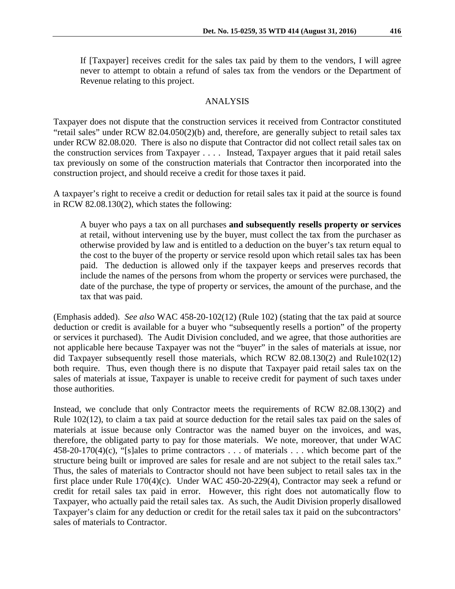If [Taxpayer] receives credit for the sales tax paid by them to the vendors, I will agree never to attempt to obtain a refund of sales tax from the vendors or the Department of Revenue relating to this project.

## ANALYSIS

Taxpayer does not dispute that the construction services it received from Contractor constituted "retail sales" under RCW 82.04.050(2)(b) and, therefore, are generally subject to retail sales tax under RCW 82.08.020. There is also no dispute that Contractor did not collect retail sales tax on the construction services from Taxpayer . . . . Instead, Taxpayer argues that it paid retail sales tax previously on some of the construction materials that Contractor then incorporated into the construction project, and should receive a credit for those taxes it paid.

A taxpayer's right to receive a credit or deduction for retail sales tax it paid at the source is found in RCW 82.08.130(2), which states the following:

A buyer who pays a tax on all purchases **and subsequently resells property or services** at retail, without intervening use by the buyer, must collect the tax from the purchaser as otherwise provided by law and is entitled to a deduction on the buyer's tax return equal to the cost to the buyer of the property or service resold upon which retail sales tax has been paid. The deduction is allowed only if the taxpayer keeps and preserves records that include the names of the persons from whom the property or services were purchased, the date of the purchase, the type of property or services, the amount of the purchase, and the tax that was paid.

(Emphasis added). *See also* WAC 458-20-102(12) (Rule 102) (stating that the tax paid at source deduction or credit is available for a buyer who "subsequently resells a portion" of the property or services it purchased). The Audit Division concluded, and we agree, that those authorities are not applicable here because Taxpayer was not the "buyer" in the sales of materials at issue, nor did Taxpayer subsequently resell those materials, which RCW 82.08.130(2) and Rule102(12) both require. Thus, even though there is no dispute that Taxpayer paid retail sales tax on the sales of materials at issue, Taxpayer is unable to receive credit for payment of such taxes under those authorities.

Instead, we conclude that only Contractor meets the requirements of RCW 82.08.130(2) and Rule 102(12), to claim a tax paid at source deduction for the retail sales tax paid on the sales of materials at issue because only Contractor was the named buyer on the invoices, and was, therefore, the obligated party to pay for those materials. We note, moreover, that under WAC 458-20-170(4)(c), "[s]ales to prime contractors . . . of materials . . . which become part of the structure being built or improved are sales for resale and are not subject to the retail sales tax." Thus, the sales of materials to Contractor should not have been subject to retail sales tax in the first place under Rule 170(4)(c). Under WAC 450-20-229(4), Contractor may seek a refund or credit for retail sales tax paid in error. However, this right does not automatically flow to Taxpayer, who actually paid the retail sales tax. As such, the Audit Division properly disallowed Taxpayer's claim for any deduction or credit for the retail sales tax it paid on the subcontractors' sales of materials to Contractor.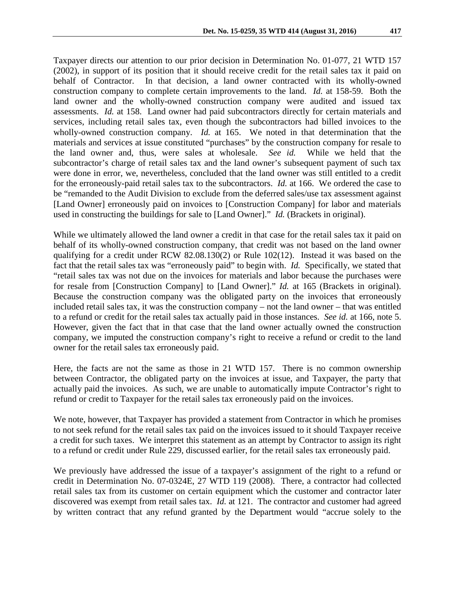Taxpayer directs our attention to our prior decision in Determination No. 01-077, 21 WTD 157 (2002), in support of its position that it should receive credit for the retail sales tax it paid on behalf of Contractor. In that decision, a land owner contracted with its wholly-owned construction company to complete certain improvements to the land. *Id.* at 158-59. Both the land owner and the wholly-owned construction company were audited and issued tax assessments. *Id.* at 158. Land owner had paid subcontractors directly for certain materials and services, including retail sales tax, even though the subcontractors had billed invoices to the wholly-owned construction company. *Id.* at 165. We noted in that determination that the materials and services at issue constituted "purchases" by the construction company for resale to the land owner and, thus, were sales at wholesale. *See id.* While we held that the subcontractor's charge of retail sales tax and the land owner's subsequent payment of such tax were done in error, we, nevertheless, concluded that the land owner was still entitled to a credit for the erroneously-paid retail sales tax to the subcontractors. *Id.* at 166. We ordered the case to be "remanded to the Audit Division to exclude from the deferred sales/use tax assessment against [Land Owner] erroneously paid on invoices to [Construction Company] for labor and materials used in constructing the buildings for sale to [Land Owner]." *Id.* (Brackets in original).

While we ultimately allowed the land owner a credit in that case for the retail sales tax it paid on behalf of its wholly-owned construction company, that credit was not based on the land owner qualifying for a credit under RCW 82.08.130(2) or Rule 102(12). Instead it was based on the fact that the retail sales tax was "erroneously paid" to begin with. *Id.* Specifically, we stated that "retail sales tax was not due on the invoices for materials and labor because the purchases were for resale from [Construction Company] to [Land Owner]." *Id.* at 165 (Brackets in original). Because the construction company was the obligated party on the invoices that erroneously included retail sales tax, it was the construction company – not the land owner – that was entitled to a refund or credit for the retail sales tax actually paid in those instances. *See id.* at 166, note 5. However, given the fact that in that case that the land owner actually owned the construction company, we imputed the construction company's right to receive a refund or credit to the land owner for the retail sales tax erroneously paid.

Here, the facts are not the same as those in 21 WTD 157. There is no common ownership between Contractor, the obligated party on the invoices at issue, and Taxpayer, the party that actually paid the invoices. As such, we are unable to automatically impute Contractor's right to refund or credit to Taxpayer for the retail sales tax erroneously paid on the invoices.

We note, however, that Taxpayer has provided a statement from Contractor in which he promises to not seek refund for the retail sales tax paid on the invoices issued to it should Taxpayer receive a credit for such taxes. We interpret this statement as an attempt by Contractor to assign its right to a refund or credit under Rule 229, discussed earlier, for the retail sales tax erroneously paid.

We previously have addressed the issue of a taxpayer's assignment of the right to a refund or credit in Determination No. 07-0324E, 27 WTD 119 (2008). There, a contractor had collected retail sales tax from its customer on certain equipment which the customer and contractor later discovered was exempt from retail sales tax. *Id.* at 121. The contractor and customer had agreed by written contract that any refund granted by the Department would "accrue solely to the